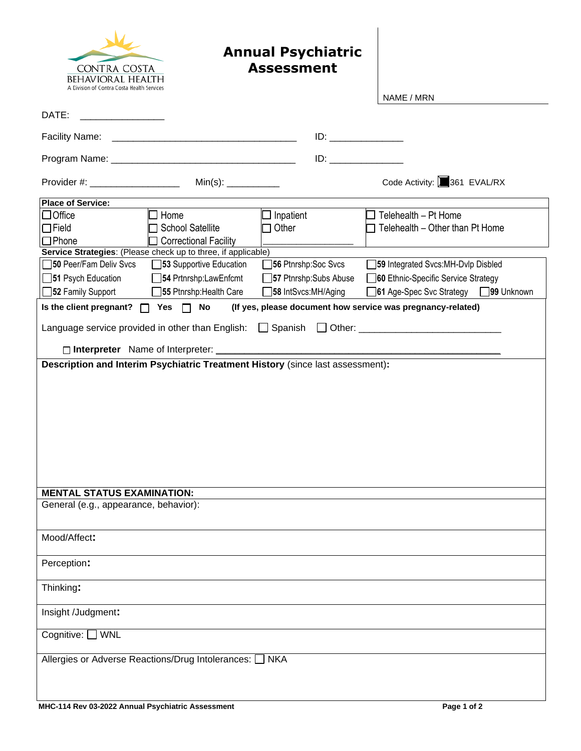

## **Annual Psychiatric Assessment**

|                                                                                | NAME / MRN                                                            |  |  |
|--------------------------------------------------------------------------------|-----------------------------------------------------------------------|--|--|
| DATE:                                                                          |                                                                       |  |  |
| Facility Name:                                                                 |                                                                       |  |  |
|                                                                                |                                                                       |  |  |
| Provider #: ___________________                                                | Code Activity: 361 EVAL/RX                                            |  |  |
| <b>Place of Service:</b>                                                       |                                                                       |  |  |
| $\Box$ Office<br>$\Box$ Home<br>$\Box$ Inpatient                               | $\Box$ Telehealth – Pt Home                                           |  |  |
| <b>School Satellite</b><br>$\Box$ Field<br>Other                               | Telehealth - Other than Pt Home                                       |  |  |
| $\Box$ Phone<br>□ Correctional Facility                                        |                                                                       |  |  |
| Service Strategies: (Please check up to three, if applicable)                  |                                                                       |  |  |
| 50 Peer/Fam Deliv Svcs<br>53 Supportive Education                              | 59 Integrated Svcs:MH-Dvlp Disbled<br>56 Ptnrshp:Soc Svcs             |  |  |
| 51 Psych Education<br>54 Prtnrshp:LawEnfcmt                                    | 37 Ptnrshp:Subs Abuse<br>60 Ethnic-Specific Service Strategy          |  |  |
| 52 Family Support<br>55 Ptnrshp: Health Care                                   | <b>38 IntSvcs:MH/Aging</b><br>61 Age-Spec Svc Strategy<br>□99 Unknown |  |  |
|                                                                                |                                                                       |  |  |
| Is the client pregnant?<br>Yes $\Box$ No<br>$\Box$                             | (If yes, please document how service was pregnancy-related)           |  |  |
|                                                                                |                                                                       |  |  |
|                                                                                |                                                                       |  |  |
| □ Interpreter Name of Interpreter: _______                                     |                                                                       |  |  |
| Description and Interim Psychiatric Treatment History (since last assessment): |                                                                       |  |  |
|                                                                                |                                                                       |  |  |
|                                                                                |                                                                       |  |  |
|                                                                                |                                                                       |  |  |
|                                                                                |                                                                       |  |  |
|                                                                                |                                                                       |  |  |
|                                                                                |                                                                       |  |  |
|                                                                                |                                                                       |  |  |
|                                                                                |                                                                       |  |  |
|                                                                                |                                                                       |  |  |
|                                                                                |                                                                       |  |  |
| <b>MENTAL STATUS EXAMINATION:</b>                                              |                                                                       |  |  |
| General (e.g., appearance, behavior):                                          |                                                                       |  |  |
|                                                                                |                                                                       |  |  |
|                                                                                |                                                                       |  |  |
| Mood/Affect:                                                                   |                                                                       |  |  |
|                                                                                |                                                                       |  |  |
| Perception:                                                                    |                                                                       |  |  |
|                                                                                |                                                                       |  |  |
| Thinking:                                                                      |                                                                       |  |  |
|                                                                                |                                                                       |  |  |
| Insight /Judgment:                                                             |                                                                       |  |  |
| Cognitive: [<br><b>WNL</b>                                                     |                                                                       |  |  |
|                                                                                |                                                                       |  |  |
| Allergies or Adverse Reactions/Drug Intolerances: [<br>$\Box$ NKA              |                                                                       |  |  |
|                                                                                |                                                                       |  |  |
|                                                                                |                                                                       |  |  |
|                                                                                |                                                                       |  |  |